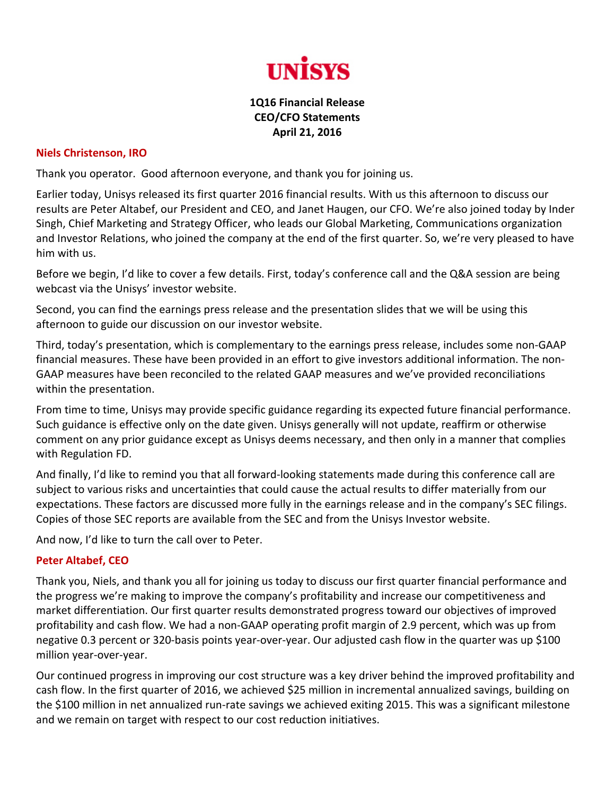

## **1Q16 Financial Release CEO/CFO Statements April 21, 2016**

## **Niels Christenson, IRO**

Thank you operator. Good afternoon everyone, and thank you for joining us.

Earlier today, Unisys released its first quarter 2016 financial results. With us this afternoon to discuss our results are Peter Altabef, our President and CEO, and Janet Haugen, our CFO. We're also joined today by Inder Singh, Chief Marketing and Strategy Officer, who leads our Global Marketing, Communications organization and Investor Relations, who joined the company at the end of the first quarter. So, we're very pleased to have him with us.

Before we begin, I'd like to cover a few details. First, today's conference call and the Q&A session are being webcast via the Unisys' investor website.

Second, you can find the earnings press release and the presentation slides that we will be using this afternoon to guide our discussion on our investor website.

Third, today's presentation, which is complementary to the earnings press release, includes some non‐GAAP financial measures. These have been provided in an effort to give investors additional information. The non‐ GAAP measures have been reconciled to the related GAAP measures and we've provided reconciliations within the presentation.

From time to time, Unisys may provide specific guidance regarding its expected future financial performance. Such guidance is effective only on the date given. Unisys generally will not update, reaffirm or otherwise comment on any prior guidance except as Unisys deems necessary, and then only in a manner that complies with Regulation FD.

And finally, I'd like to remind you that all forward‐looking statements made during this conference call are subject to various risks and uncertainties that could cause the actual results to differ materially from our expectations. These factors are discussed more fully in the earnings release and in the company's SEC filings. Copies of those SEC reports are available from the SEC and from the Unisys Investor website.

And now, I'd like to turn the call over to Peter.

## **Peter Altabef, CEO**

Thank you, Niels, and thank you all for joining us today to discuss our first quarter financial performance and the progress we're making to improve the company's profitability and increase our competitiveness and market differentiation. Our first quarter results demonstrated progress toward our objectives of improved profitability and cash flow. We had a non‐GAAP operating profit margin of 2.9 percent, which was up from negative 0.3 percent or 320‐basis points year‐over‐year. Our adjusted cash flow in the quarter was up \$100 million year‐over‐year.

Our continued progress in improving our cost structure was a key driver behind the improved profitability and cash flow. In the first quarter of 2016, we achieved \$25 million in incremental annualized savings, building on the \$100 million in net annualized run‐rate savings we achieved exiting 2015. This was a significant milestone and we remain on target with respect to our cost reduction initiatives.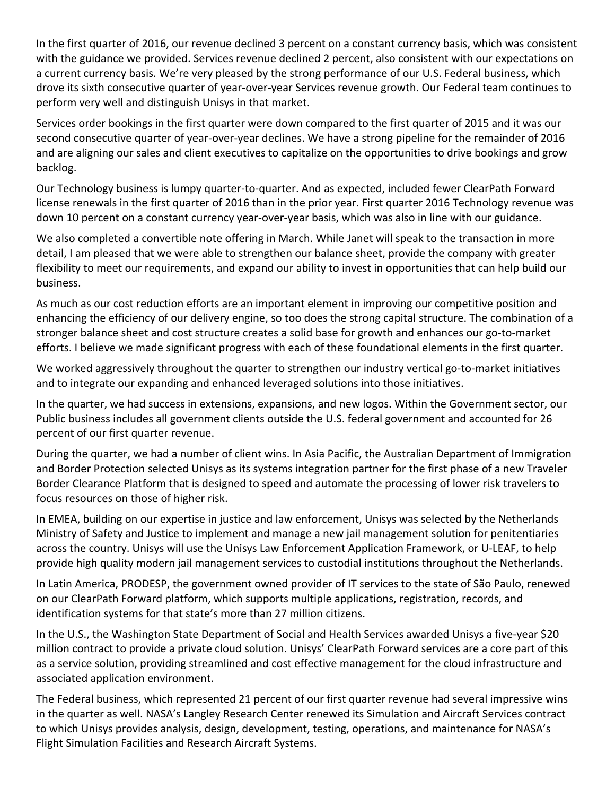In the first quarter of 2016, our revenue declined 3 percent on a constant currency basis, which was consistent with the guidance we provided. Services revenue declined 2 percent, also consistent with our expectations on a current currency basis. We're very pleased by the strong performance of our U.S. Federal business, which drove its sixth consecutive quarter of year‐over‐year Services revenue growth. Our Federal team continues to perform very well and distinguish Unisys in that market.

Services order bookings in the first quarter were down compared to the first quarter of 2015 and it was our second consecutive quarter of year-over-year declines. We have a strong pipeline for the remainder of 2016 and are aligning our sales and client executives to capitalize on the opportunities to drive bookings and grow backlog.

Our Technology business is lumpy quarter‐to‐quarter. And as expected, included fewer ClearPath Forward license renewals in the first quarter of 2016 than in the prior year. First quarter 2016 Technology revenue was down 10 percent on a constant currency year‐over‐year basis, which was also in line with our guidance.

We also completed a convertible note offering in March. While Janet will speak to the transaction in more detail, I am pleased that we were able to strengthen our balance sheet, provide the company with greater flexibility to meet our requirements, and expand our ability to invest in opportunities that can help build our business.

As much as our cost reduction efforts are an important element in improving our competitive position and enhancing the efficiency of our delivery engine, so too does the strong capital structure. The combination of a stronger balance sheet and cost structure creates a solid base for growth and enhances our go‐to‐market efforts. I believe we made significant progress with each of these foundational elements in the first quarter.

We worked aggressively throughout the quarter to strengthen our industry vertical go-to-market initiatives and to integrate our expanding and enhanced leveraged solutions into those initiatives.

In the quarter, we had success in extensions, expansions, and new logos. Within the Government sector, our Public business includes all government clients outside the U.S. federal government and accounted for 26 percent of our first quarter revenue.

During the quarter, we had a number of client wins. In Asia Pacific, the Australian Department of Immigration and Border Protection selected Unisys as its systems integration partner for the first phase of a new Traveler Border Clearance Platform that is designed to speed and automate the processing of lower risk travelers to focus resources on those of higher risk.

In EMEA, building on our expertise in justice and law enforcement, Unisys was selected by the Netherlands Ministry of Safety and Justice to implement and manage a new jail management solution for penitentiaries across the country. Unisys will use the Unisys Law Enforcement Application Framework, or U‐LEAF, to help provide high quality modern jail management services to custodial institutions throughout the Netherlands.

In Latin America, PRODESP, the government owned provider of IT services to the state of São Paulo, renewed on our ClearPath Forward platform, which supports multiple applications, registration, records, and identification systems for that state's more than 27 million citizens.

In the U.S., the Washington State Department of Social and Health Services awarded Unisys a five‐year \$20 million contract to provide a private cloud solution. Unisys' ClearPath Forward services are a core part of this as a service solution, providing streamlined and cost effective management for the cloud infrastructure and associated application environment.

The Federal business, which represented 21 percent of our first quarter revenue had several impressive wins in the quarter as well. NASA's Langley Research Center renewed its Simulation and Aircraft Services contract to which Unisys provides analysis, design, development, testing, operations, and maintenance for NASA's Flight Simulation Facilities and Research Aircraft Systems.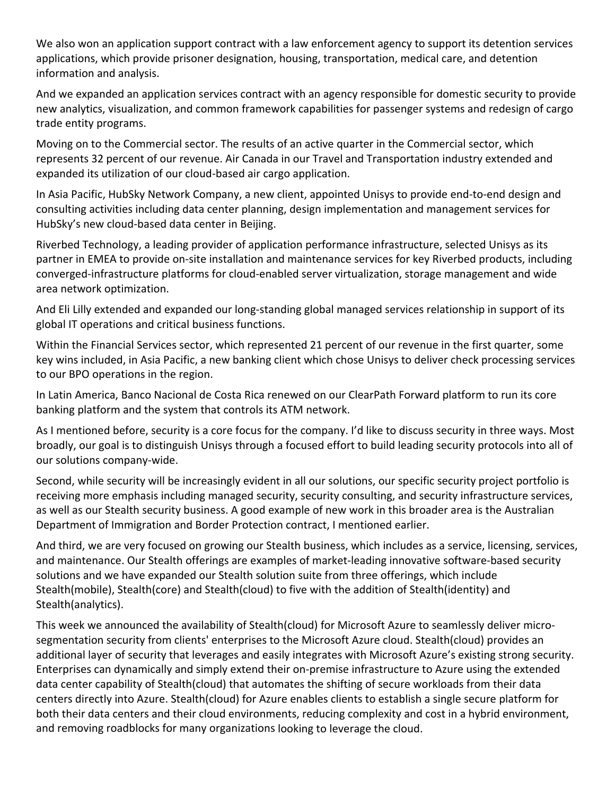We also won an application support contract with a law enforcement agency to support its detention services applications, which provide prisoner designation, housing, transportation, medical care, and detention information and analysis.

And we expanded an application services contract with an agency responsible for domestic security to provide new analytics, visualization, and common framework capabilities for passenger systems and redesign of cargo trade entity programs.

Moving on to the Commercial sector. The results of an active quarter in the Commercial sector, which represents 32 percent of our revenue. Air Canada in our Travel and Transportation industry extended and expanded its utilization of our cloud‐based air cargo application.

In Asia Pacific, HubSky Network Company, a new client, appointed Unisys to provide end‐to‐end design and consulting activities including data center planning, design implementation and management services for HubSky's new cloud‐based data center in Beijing.

Riverbed Technology, a leading provider of application performance infrastructure, selected Unisys as its partner in EMEA to provide on‐site installation and maintenance services for key Riverbed products, including converged‐infrastructure platforms for cloud‐enabled server virtualization, storage management and wide area network optimization.

And Eli Lilly extended and expanded our long‐standing global managed services relationship in support of its global IT operations and critical business functions.

Within the Financial Services sector, which represented 21 percent of our revenue in the first quarter, some key wins included, in Asia Pacific, a new banking client which chose Unisys to deliver check processing services to our BPO operations in the region.

In Latin America, Banco Nacional de Costa Rica renewed on our ClearPath Forward platform to run its core banking platform and the system that controls its ATM network.

As I mentioned before, security is a core focus for the company. I'd like to discuss security in three ways. Most broadly, our goal is to distinguish Unisys through a focused effort to build leading security protocols into all of our solutions company‐wide.

Second, while security will be increasingly evident in all our solutions, our specific security project portfolio is receiving more emphasis including managed security, security consulting, and security infrastructure services, as well as our Stealth security business. A good example of new work in this broader area is the Australian Department of Immigration and Border Protection contract, I mentioned earlier.

And third, we are very focused on growing our Stealth business, which includes as a service, licensing, services, and maintenance. Our Stealth offerings are examples of market-leading innovative software-based security solutions and we have expanded our Stealth solution suite from three offerings, which include Stealth(mobile), Stealth(core) and Stealth(cloud) to five with the addition of Stealth(identity) and Stealth(analytics).

This week we announced the availability of Stealth(cloud) for Microsoft Azure to seamlessly deliver micro‐ segmentation security from clients' enterprises to the Microsoft Azure cloud. Stealth(cloud) provides an additional layer of security that leverages and easily integrates with Microsoft Azure's existing strong security. Enterprises can dynamically and simply extend their on‐premise infrastructure to Azure using the extended data center capability of Stealth(cloud) that automates the shifting of secure workloads from their data centers directly into Azure. Stealth(cloud) for Azure enables clients to establish a single secure platform for both their data centers and their cloud environments, reducing complexity and cost in a hybrid environment, and removing roadblocks for many organizations looking to leverage the cloud.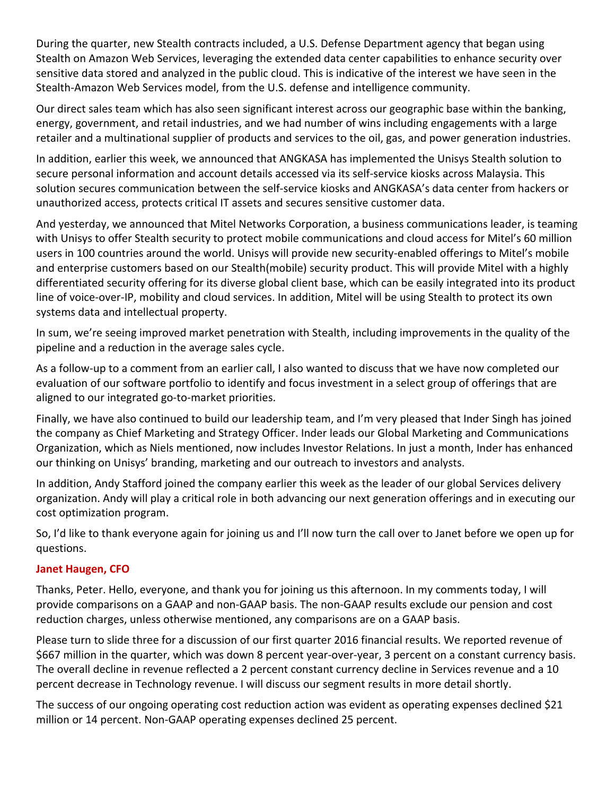During the quarter, new Stealth contracts included, a U.S. Defense Department agency that began using Stealth on Amazon Web Services, leveraging the extended data center capabilities to enhance security over sensitive data stored and analyzed in the public cloud. This is indicative of the interest we have seen in the Stealth-Amazon Web Services model, from the U.S. defense and intelligence community.

Our direct sales team which has also seen significant interest across our geographic base within the banking, energy, government, and retail industries, and we had number of wins including engagements with a large retailer and a multinational supplier of products and services to the oil, gas, and power generation industries.

In addition, earlier this week, we announced that ANGKASA has implemented the Unisys Stealth solution to secure personal information and account details accessed via its self‐service kiosks across Malaysia. This solution secures communication between the self‐service kiosks and ANGKASA's data center from hackers or unauthorized access, protects critical IT assets and secures sensitive customer data.

And yesterday, we announced that Mitel Networks Corporation, a business communications leader, is teaming with Unisys to offer Stealth security to protect mobile communications and cloud access for Mitel's 60 million users in 100 countries around the world. Unisys will provide new security‐enabled offerings to Mitel's mobile and enterprise customers based on our Stealth(mobile) security product. This will provide Mitel with a highly differentiated security offering for its diverse global client base, which can be easily integrated into its product line of voice‐over‐IP, mobility and cloud services. In addition, Mitel will be using Stealth to protect its own systems data and intellectual property.

In sum, we're seeing improved market penetration with Stealth, including improvements in the quality of the pipeline and a reduction in the average sales cycle.

As a follow‐up to a comment from an earlier call, I also wanted to discuss that we have now completed our evaluation of our software portfolio to identify and focus investment in a select group of offerings that are aligned to our integrated go‐to‐market priorities.

Finally, we have also continued to build our leadership team, and I'm very pleased that Inder Singh has joined the company as Chief Marketing and Strategy Officer. Inder leads our Global Marketing and Communications Organization, which as Niels mentioned, now includes Investor Relations. In just a month, Inder has enhanced our thinking on Unisys' branding, marketing and our outreach to investors and analysts.

In addition, Andy Stafford joined the company earlier this week as the leader of our global Services delivery organization. Andy will play a critical role in both advancing our next generation offerings and in executing our cost optimization program.

So, I'd like to thank everyone again for joining us and I'll now turn the call over to Janet before we open up for questions.

## **Janet Haugen, CFO**

Thanks, Peter. Hello, everyone, and thank you for joining us this afternoon. In my comments today, I will provide comparisons on a GAAP and non‐GAAP basis. The non‐GAAP results exclude our pension and cost reduction charges, unless otherwise mentioned, any comparisons are on a GAAP basis.

Please turn to slide three for a discussion of our first quarter 2016 financial results. We reported revenue of \$667 million in the quarter, which was down 8 percent year‐over‐year, 3 percent on a constant currency basis. The overall decline in revenue reflected a 2 percent constant currency decline in Services revenue and a 10 percent decrease in Technology revenue. I will discuss our segment results in more detail shortly.

The success of our ongoing operating cost reduction action was evident as operating expenses declined \$21 million or 14 percent. Non‐GAAP operating expenses declined 25 percent.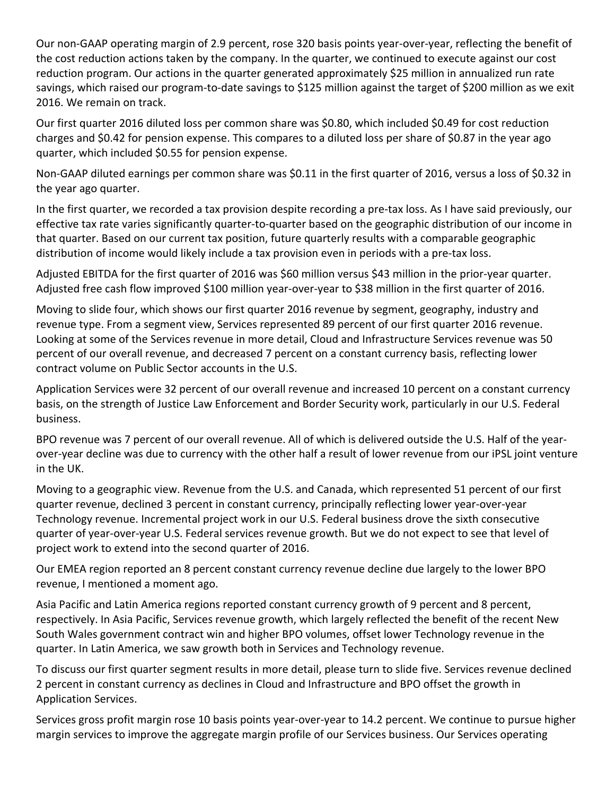Our non‐GAAP operating margin of 2.9 percent, rose 320 basis points year‐over‐year, reflecting the benefit of the cost reduction actions taken by the company. In the quarter, we continued to execute against our cost reduction program. Our actions in the quarter generated approximately \$25 million in annualized run rate savings, which raised our program-to-date savings to \$125 million against the target of \$200 million as we exit 2016. We remain on track.

Our first quarter 2016 diluted loss per common share was \$0.80, which included \$0.49 for cost reduction charges and \$0.42 for pension expense. This compares to a diluted loss per share of \$0.87 in the year ago quarter, which included \$0.55 for pension expense.

Non‐GAAP diluted earnings per common share was \$0.11 in the first quarter of 2016, versus a loss of \$0.32 in the year ago quarter.

In the first quarter, we recorded a tax provision despite recording a pre-tax loss. As I have said previously, our effective tax rate varies significantly quarter‐to‐quarter based on the geographic distribution of our income in that quarter. Based on our current tax position, future quarterly results with a comparable geographic distribution of income would likely include a tax provision even in periods with a pre‐tax loss.

Adjusted EBITDA for the first quarter of 2016 was \$60 million versus \$43 million in the prior‐year quarter. Adjusted free cash flow improved \$100 million year-over-year to \$38 million in the first quarter of 2016.

Moving to slide four, which shows our first quarter 2016 revenue by segment, geography, industry and revenue type. From a segment view, Services represented 89 percent of our first quarter 2016 revenue. Looking at some of the Services revenue in more detail, Cloud and Infrastructure Services revenue was 50 percent of our overall revenue, and decreased 7 percent on a constant currency basis, reflecting lower contract volume on Public Sector accounts in the U.S.

Application Services were 32 percent of our overall revenue and increased 10 percent on a constant currency basis, on the strength of Justice Law Enforcement and Border Security work, particularly in our U.S. Federal business.

BPO revenue was 7 percent of our overall revenue. All of which is delivered outside the U.S. Half of the yearover‐year decline was due to currency with the other half a result of lower revenue from our iPSL joint venture in the UK.

Moving to a geographic view. Revenue from the U.S. and Canada, which represented 51 percent of our first quarter revenue, declined 3 percent in constant currency, principally reflecting lower year‐over‐year Technology revenue. Incremental project work in our U.S. Federal business drove the sixth consecutive quarter of year‐over‐year U.S. Federal services revenue growth. But we do not expect to see that level of project work to extend into the second quarter of 2016.

Our EMEA region reported an 8 percent constant currency revenue decline due largely to the lower BPO revenue, I mentioned a moment ago.

Asia Pacific and Latin America regions reported constant currency growth of 9 percent and 8 percent, respectively. In Asia Pacific, Services revenue growth, which largely reflected the benefit of the recent New South Wales government contract win and higher BPO volumes, offset lower Technology revenue in the quarter. In Latin America, we saw growth both in Services and Technology revenue.

To discuss our first quarter segment results in more detail, please turn to slide five. Services revenue declined 2 percent in constant currency as declines in Cloud and Infrastructure and BPO offset the growth in Application Services.

Services gross profit margin rose 10 basis points year‐over‐year to 14.2 percent. We continue to pursue higher margin services to improve the aggregate margin profile of our Services business. Our Services operating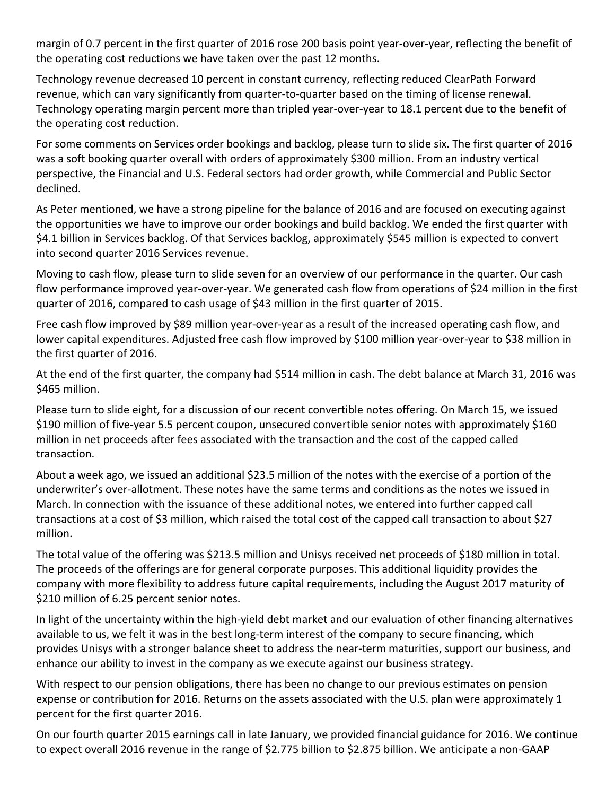margin of 0.7 percent in the first quarter of 2016 rose 200 basis point year-over-year, reflecting the benefit of the operating cost reductions we have taken over the past 12 months.

Technology revenue decreased 10 percent in constant currency, reflecting reduced ClearPath Forward revenue, which can vary significantly from quarter-to-quarter based on the timing of license renewal. Technology operating margin percent more than tripled year‐over‐year to 18.1 percent due to the benefit of the operating cost reduction.

For some comments on Services order bookings and backlog, please turn to slide six. The first quarter of 2016 was a soft booking quarter overall with orders of approximately \$300 million. From an industry vertical perspective, the Financial and U.S. Federal sectors had order growth, while Commercial and Public Sector declined.

As Peter mentioned, we have a strong pipeline for the balance of 2016 and are focused on executing against the opportunities we have to improve our order bookings and build backlog. We ended the first quarter with \$4.1 billion in Services backlog. Of that Services backlog, approximately \$545 million is expected to convert into second quarter 2016 Services revenue.

Moving to cash flow, please turn to slide seven for an overview of our performance in the quarter. Our cash flow performance improved year-over-year. We generated cash flow from operations of \$24 million in the first quarter of 2016, compared to cash usage of \$43 million in the first quarter of 2015.

Free cash flow improved by \$89 million year-over-year as a result of the increased operating cash flow, and lower capital expenditures. Adjusted free cash flow improved by \$100 million year‐over‐year to \$38 million in the first quarter of 2016.

At the end of the first quarter, the company had \$514 million in cash. The debt balance at March 31, 2016 was \$465 million.

Please turn to slide eight, for a discussion of our recent convertible notes offering. On March 15, we issued \$190 million of five-year 5.5 percent coupon, unsecured convertible senior notes with approximately \$160 million in net proceeds after fees associated with the transaction and the cost of the capped called transaction.

About a week ago, we issued an additional \$23.5 million of the notes with the exercise of a portion of the underwriter's over‐allotment. These notes have the same terms and conditions as the notes we issued in March. In connection with the issuance of these additional notes, we entered into further capped call transactions at a cost of \$3 million, which raised the total cost of the capped call transaction to about \$27 million.

The total value of the offering was \$213.5 million and Unisys received net proceeds of \$180 million in total. The proceeds of the offerings are for general corporate purposes. This additional liquidity provides the company with more flexibility to address future capital requirements, including the August 2017 maturity of \$210 million of 6.25 percent senior notes.

In light of the uncertainty within the high-yield debt market and our evaluation of other financing alternatives available to us, we felt it was in the best long-term interest of the company to secure financing, which provides Unisys with a stronger balance sheet to address the near‐term maturities, support our business, and enhance our ability to invest in the company as we execute against our business strategy.

With respect to our pension obligations, there has been no change to our previous estimates on pension expense or contribution for 2016. Returns on the assets associated with the U.S. plan were approximately 1 percent for the first quarter 2016.

On our fourth quarter 2015 earnings call in late January, we provided financial guidance for 2016. We continue to expect overall 2016 revenue in the range of \$2.775 billion to \$2.875 billion. We anticipate a non‐GAAP